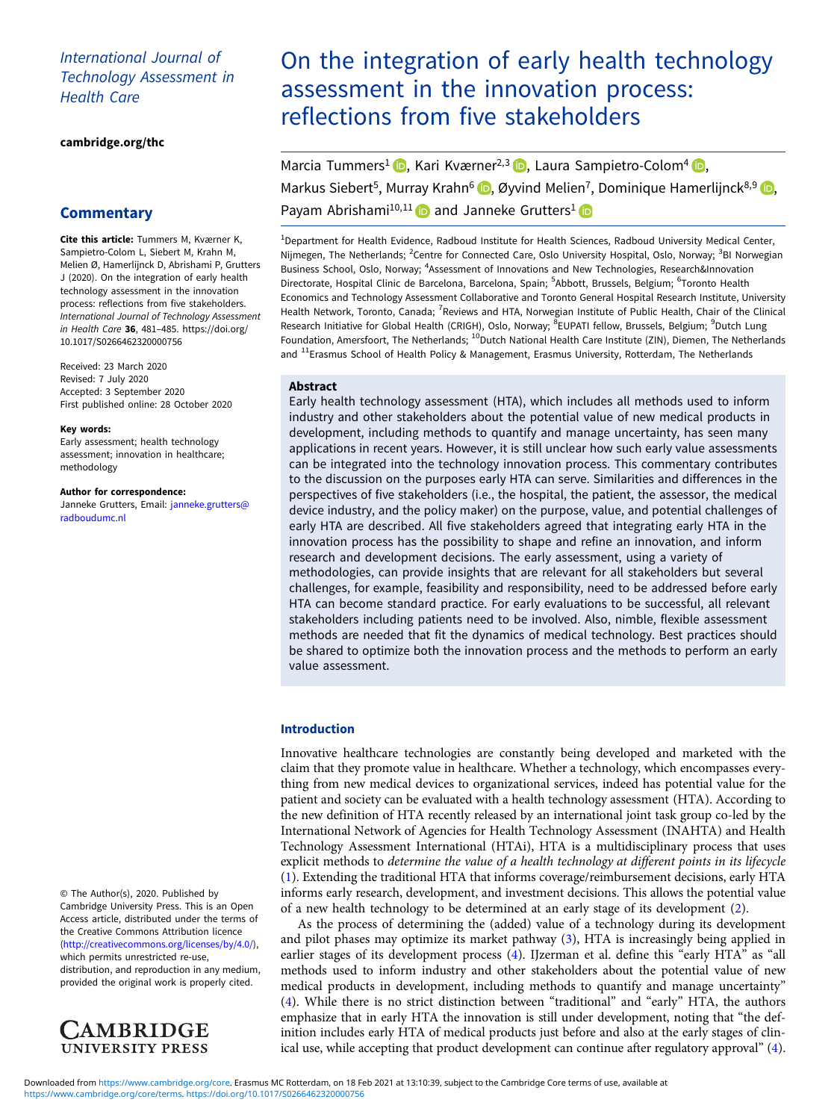# International Journal of Technology Assessment in Health Care

[cambridge.org/thc](https://www.cambridge.org/thc)

# **Commentary**

Cite this article: Tummers M, Kværner K, Sampietro-Colom L, Siebert M, Krahn M, Melien Ø, Hamerlijnck D, Abrishami P, Grutters J (2020). On the integration of early health technology assessment in the innovation process: reflections from five stakeholders.<br>International Journal of Technology Assessment International Central of Technology Assessment<br>in Health Care 36, 481–485. [https://doi.org/](https://doi.org/10.1017/S0266462320000756)<br>10.1017/S0266462320000756 [10.1017/S0266462320000756](https://doi.org/10.1017/S0266462320000756)

Received: 23 March 2020 Revised: 7 July 2020 Accepted: 3 September 2020 First published online: 28 October 2020

#### Key words:

Early assessment; health technology assessment; innovation in healthcare; methodology

Author for correspondence: Janneke Grutters, Email: [janneke.grutters@](mailto:janneke.grutters@radboudumc.nl) [radboudumc.nl](mailto:janneke.grutters@radboudumc.nl)

© The Author(s), 2020. Published by Cambridge University Press. This is an Open Access article, distributed under the terms of the Creative Commons Attribution licence ([http://creativecommons.org/licenses/by/4.0/\)](http://creativecommons.org/licenses/by/4.0/), which permits unrestricted re-use, distribution, and reproduction in any medium, provided the original work is properly cited.



# On the integration of early health technology assessment in the innovation process: reflections from five stakeholders

Marcia Tummers<sup>1</sup> **D**[,](https://orcid.org/0000-0001-7182-0231) Kari Kværner<sup>2,3</sup> D, Laura Sampietro-Colom<sup>4</sup> D, Markus Siebert<sup>5</sup>, Murray Krahn<sup>6</sup> (D), Øyvind Melien<sup>7</sup>, Dominique Hamerlijnck<sup>8,9</sup> (D), Payam Abrishami<sup>10,11</sup> and Janneke Grutters<sup>1</sup>

<sup>1</sup>Department for Health Evidence, Radboud Institute for Health Sciences, Radboud University Medical Center, Nijmegen, The Netherlands; <sup>2</sup>Centre for Connected Care, Oslo University Hospital, Oslo, Norway; <sup>3</sup>BI Norwegian Business School, Oslo, Norway; <sup>4</sup>Assessment of Innovations and New Technologies, Research&Innovation Directorate, Hospital Clinic de Barcelona, Barcelona, Spain; <sup>5</sup>Abbott, Brussels, Belgium; <sup>6</sup>Toronto Health Economics and Technology Assessment Collaborative and Toronto General Hospital Research Institute, University Health Network, Toronto, Canada; <sup>7</sup>Reviews and HTA, Norwegian Institute of Public Health, Chair of the Clinical Research Initiative for Global Health (CRIGH), Oslo, Norway; <sup>8</sup>EUPATI fellow, Brussels, Belgium; <sup>9</sup>Dutch Lung Foundation, Amersfoort, The Netherlands; <sup>10</sup>Dutch National Health Care Institute (ZIN), Diemen, The Netherlands and <sup>11</sup>Erasmus School of Health Policy & Management, Erasmus University, Rotterdam, The Netherlands

# Abstract

Early health technology assessment (HTA), which includes all methods used to inform industry and other stakeholders about the potential value of new medical products in development, including methods to quantify and manage uncertainty, has seen many applications in recent years. However, it is still unclear how such early value assessments can be integrated into the technology innovation process. This commentary contributes to the discussion on the purposes early HTA can serve. Similarities and differences in the perspectives of five stakeholders (i.e., the hospital, the patient, the assessor, the medical device industry, and the policy maker) on the purpose, value, and potential challenges of early HTA are described. All five stakeholders agreed that integrating early HTA in the innovation process has the possibility to shape and refine an innovation, and inform research and development decisions. The early assessment, using a variety of methodologies, can provide insights that are relevant for all stakeholders but several challenges, for example, feasibility and responsibility, need to be addressed before early HTA can become standard practice. For early evaluations to be successful, all relevant stakeholders including patients need to be involved. Also, nimble, flexible assessment methods are needed that fit the dynamics of medical technology. Best practices should be shared to optimize both the innovation process and the methods to perform an early value assessment.

# Introduction

Innovative healthcare technologies are constantly being developed and marketed with the claim that they promote value in healthcare. Whether a technology, which encompasses everything from new medical devices to organizational services, indeed has potential value for the patient and society can be evaluated with a health technology assessment (HTA). According to the new definition of HTA recently released by an international joint task group co-led by the International Network of Agencies for Health Technology Assessment (INAHTA) and Health Technology Assessment International (HTAi), HTA is a multidisciplinary process that uses explicit methods to determine the value of a health technology at different points in its lifecycle ([1](#page-3-0)). Extending the traditional HTA that informs coverage/reimbursement decisions, early HTA informs early research, development, and investment decisions. This allows the potential value of a new health technology to be determined at an early stage of its development ([2](#page-3-0)).

As the process of determining the (added) value of a technology during its development and pilot phases may optimize its market pathway ([3\)](#page-3-0), HTA is increasingly being applied in earlier stages of its development process ([4](#page-4-0)). IJzerman et al. define this "early HTA" as "all methods used to inform industry and other stakeholders about the potential value of new medical products in development, including methods to quantify and manage uncertainty" ([4](#page-4-0)). While there is no strict distinction between "traditional" and "early" HTA, the authors emphasize that in early HTA the innovation is still under development, noting that "the definition includes early HTA of medical products just before and also at the early stages of clinical use, while accepting that product development can continue after regulatory approval" ([4](#page-4-0)).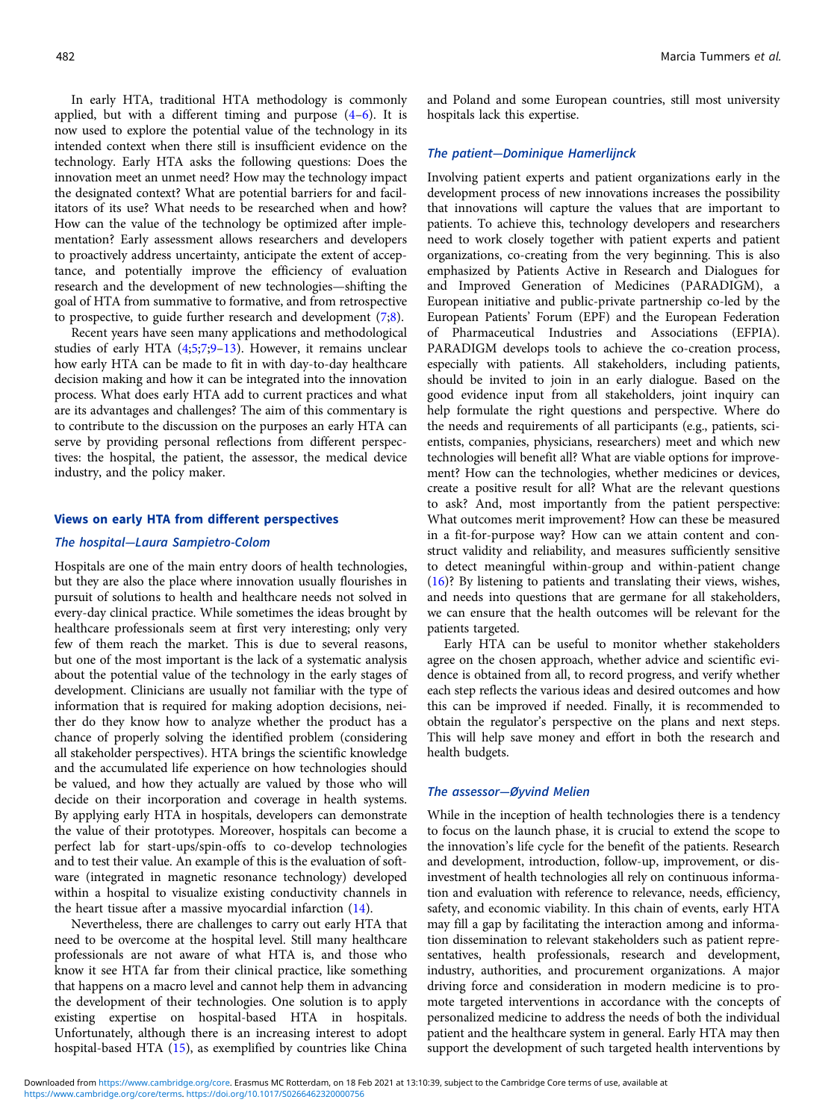In early HTA, traditional HTA methodology is commonly applied, but with a different timing and purpose  $(4-6)$  $(4-6)$  $(4-6)$  $(4-6)$ . It is now used to explore the potential value of the technology in its intended context when there still is insufficient evidence on the technology. Early HTA asks the following questions: Does the innovation meet an unmet need? How may the technology impact the designated context? What are potential barriers for and facilitators of its use? What needs to be researched when and how? How can the value of the technology be optimized after implementation? Early assessment allows researchers and developers to proactively address uncertainty, anticipate the extent of acceptance, and potentially improve the efficiency of evaluation research and the development of new technologies—shifting the goal of HTA from summative to formative, and from retrospective to prospective, to guide further research and development [\(7;8](#page-4-0)).

Recent years have seen many applications and methodological studies of early HTA ([4;5;7;9](#page-4-0)–[13](#page-4-0)). However, it remains unclear how early HTA can be made to fit in with day-to-day healthcare decision making and how it can be integrated into the innovation process. What does early HTA add to current practices and what are its advantages and challenges? The aim of this commentary is to contribute to the discussion on the purposes an early HTA can serve by providing personal reflections from different perspectives: the hospital, the patient, the assessor, the medical device industry, and the policy maker.

# Views on early HTA from different perspectives

# The hospital—Laura Sampietro-Colom

Hospitals are one of the main entry doors of health technologies, but they are also the place where innovation usually flourishes in pursuit of solutions to health and healthcare needs not solved in every-day clinical practice. While sometimes the ideas brought by healthcare professionals seem at first very interesting; only very few of them reach the market. This is due to several reasons, but one of the most important is the lack of a systematic analysis about the potential value of the technology in the early stages of development. Clinicians are usually not familiar with the type of information that is required for making adoption decisions, neither do they know how to analyze whether the product has a chance of properly solving the identified problem (considering all stakeholder perspectives). HTA brings the scientific knowledge and the accumulated life experience on how technologies should be valued, and how they actually are valued by those who will decide on their incorporation and coverage in health systems. By applying early HTA in hospitals, developers can demonstrate the value of their prototypes. Moreover, hospitals can become a perfect lab for start-ups/spin-offs to co-develop technologies and to test their value. An example of this is the evaluation of software (integrated in magnetic resonance technology) developed within a hospital to visualize existing conductivity channels in the heart tissue after a massive myocardial infarction [\(14](#page-4-0)).

Nevertheless, there are challenges to carry out early HTA that need to be overcome at the hospital level. Still many healthcare professionals are not aware of what HTA is, and those who know it see HTA far from their clinical practice, like something that happens on a macro level and cannot help them in advancing the development of their technologies. One solution is to apply existing expertise on hospital-based HTA in hospitals. Unfortunately, although there is an increasing interest to adopt hospital-based HTA [\(15](#page-4-0)), as exemplified by countries like China

and Poland and some European countries, still most university hospitals lack this expertise.

# The patient—Dominique Hamerlijnck

Involving patient experts and patient organizations early in the development process of new innovations increases the possibility that innovations will capture the values that are important to patients. To achieve this, technology developers and researchers need to work closely together with patient experts and patient organizations, co-creating from the very beginning. This is also emphasized by Patients Active in Research and Dialogues for and Improved Generation of Medicines (PARADIGM), a European initiative and public-private partnership co-led by the European Patients' Forum (EPF) and the European Federation of Pharmaceutical Industries and Associations (EFPIA). PARADIGM develops tools to achieve the co-creation process, especially with patients. All stakeholders, including patients, should be invited to join in an early dialogue. Based on the good evidence input from all stakeholders, joint inquiry can help formulate the right questions and perspective. Where do the needs and requirements of all participants (e.g., patients, scientists, companies, physicians, researchers) meet and which new technologies will benefit all? What are viable options for improvement? How can the technologies, whether medicines or devices, create a positive result for all? What are the relevant questions to ask? And, most importantly from the patient perspective: What outcomes merit improvement? How can these be measured in a fit-for-purpose way? How can we attain content and construct validity and reliability, and measures sufficiently sensitive to detect meaningful within-group and within-patient change [\(16](#page-4-0))? By listening to patients and translating their views, wishes, and needs into questions that are germane for all stakeholders, we can ensure that the health outcomes will be relevant for the patients targeted.

Early HTA can be useful to monitor whether stakeholders agree on the chosen approach, whether advice and scientific evidence is obtained from all, to record progress, and verify whether each step reflects the various ideas and desired outcomes and how this can be improved if needed. Finally, it is recommended to obtain the regulator's perspective on the plans and next steps. This will help save money and effort in both the research and health budgets.

# The assessor—Øyvind Melien

While in the inception of health technologies there is a tendency to focus on the launch phase, it is crucial to extend the scope to the innovation's life cycle for the benefit of the patients. Research and development, introduction, follow-up, improvement, or disinvestment of health technologies all rely on continuous information and evaluation with reference to relevance, needs, efficiency, safety, and economic viability. In this chain of events, early HTA may fill a gap by facilitating the interaction among and information dissemination to relevant stakeholders such as patient representatives, health professionals, research and development, industry, authorities, and procurement organizations. A major driving force and consideration in modern medicine is to promote targeted interventions in accordance with the concepts of personalized medicine to address the needs of both the individual patient and the healthcare system in general. Early HTA may then support the development of such targeted health interventions by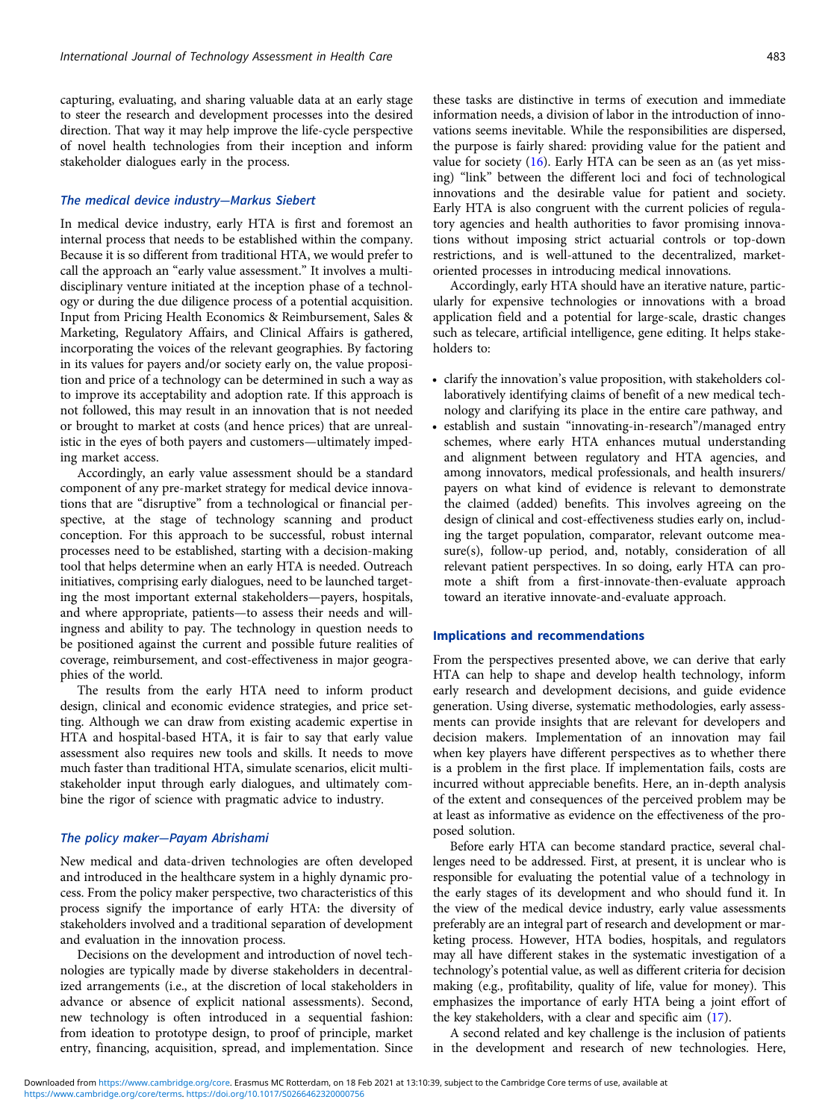capturing, evaluating, and sharing valuable data at an early stage to steer the research and development processes into the desired direction. That way it may help improve the life-cycle perspective of novel health technologies from their inception and inform stakeholder dialogues early in the process.

#### The medical device industry—Markus Siebert

In medical device industry, early HTA is first and foremost an internal process that needs to be established within the company. Because it is so different from traditional HTA, we would prefer to call the approach an "early value assessment." It involves a multidisciplinary venture initiated at the inception phase of a technology or during the due diligence process of a potential acquisition. Input from Pricing Health Economics & Reimbursement, Sales & Marketing, Regulatory Affairs, and Clinical Affairs is gathered, incorporating the voices of the relevant geographies. By factoring in its values for payers and/or society early on, the value proposition and price of a technology can be determined in such a way as to improve its acceptability and adoption rate. If this approach is not followed, this may result in an innovation that is not needed or brought to market at costs (and hence prices) that are unrealistic in the eyes of both payers and customers—ultimately impeding market access.

Accordingly, an early value assessment should be a standard component of any pre-market strategy for medical device innovations that are "disruptive" from a technological or financial perspective, at the stage of technology scanning and product conception. For this approach to be successful, robust internal processes need to be established, starting with a decision-making tool that helps determine when an early HTA is needed. Outreach initiatives, comprising early dialogues, need to be launched targeting the most important external stakeholders—payers, hospitals, and where appropriate, patients—to assess their needs and willingness and ability to pay. The technology in question needs to be positioned against the current and possible future realities of coverage, reimbursement, and cost-effectiveness in major geographies of the world.

The results from the early HTA need to inform product design, clinical and economic evidence strategies, and price setting. Although we can draw from existing academic expertise in HTA and hospital-based HTA, it is fair to say that early value assessment also requires new tools and skills. It needs to move much faster than traditional HTA, simulate scenarios, elicit multistakeholder input through early dialogues, and ultimately combine the rigor of science with pragmatic advice to industry.

#### The policy maker—Payam Abrishami

New medical and data-driven technologies are often developed and introduced in the healthcare system in a highly dynamic process. From the policy maker perspective, two characteristics of this process signify the importance of early HTA: the diversity of stakeholders involved and a traditional separation of development and evaluation in the innovation process.

Decisions on the development and introduction of novel technologies are typically made by diverse stakeholders in decentralized arrangements (i.e., at the discretion of local stakeholders in advance or absence of explicit national assessments). Second, new technology is often introduced in a sequential fashion: from ideation to prototype design, to proof of principle, market entry, financing, acquisition, spread, and implementation. Since

these tasks are distinctive in terms of execution and immediate information needs, a division of labor in the introduction of innovations seems inevitable. While the responsibilities are dispersed, the purpose is fairly shared: providing value for the patient and value for society ([16](#page-4-0)). Early HTA can be seen as an (as yet missing) "link" between the different loci and foci of technological innovations and the desirable value for patient and society. Early HTA is also congruent with the current policies of regulatory agencies and health authorities to favor promising innovations without imposing strict actuarial controls or top-down restrictions, and is well-attuned to the decentralized, marketoriented processes in introducing medical innovations.

Accordingly, early HTA should have an iterative nature, particularly for expensive technologies or innovations with a broad application field and a potential for large-scale, drastic changes such as telecare, artificial intelligence, gene editing. It helps stakeholders to:

- clarify the innovation's value proposition, with stakeholders collaboratively identifying claims of benefit of a new medical technology and clarifying its place in the entire care pathway, and
- establish and sustain "innovating-in-research"/managed entry schemes, where early HTA enhances mutual understanding and alignment between regulatory and HTA agencies, and among innovators, medical professionals, and health insurers/ payers on what kind of evidence is relevant to demonstrate the claimed (added) benefits. This involves agreeing on the design of clinical and cost-effectiveness studies early on, including the target population, comparator, relevant outcome measure(s), follow-up period, and, notably, consideration of all relevant patient perspectives. In so doing, early HTA can promote a shift from a first-innovate-then-evaluate approach toward an iterative innovate-and-evaluate approach.

#### Implications and recommendations

From the perspectives presented above, we can derive that early HTA can help to shape and develop health technology, inform early research and development decisions, and guide evidence generation. Using diverse, systematic methodologies, early assessments can provide insights that are relevant for developers and decision makers. Implementation of an innovation may fail when key players have different perspectives as to whether there is a problem in the first place. If implementation fails, costs are incurred without appreciable benefits. Here, an in-depth analysis of the extent and consequences of the perceived problem may be at least as informative as evidence on the effectiveness of the proposed solution.

Before early HTA can become standard practice, several challenges need to be addressed. First, at present, it is unclear who is responsible for evaluating the potential value of a technology in the early stages of its development and who should fund it. In the view of the medical device industry, early value assessments preferably are an integral part of research and development or marketing process. However, HTA bodies, hospitals, and regulators may all have different stakes in the systematic investigation of a technology's potential value, as well as different criteria for decision making (e.g., profitability, quality of life, value for money). This emphasizes the importance of early HTA being a joint effort of the key stakeholders, with a clear and specific aim [\(17\)](#page-4-0).

A second related and key challenge is the inclusion of patients in the development and research of new technologies. Here,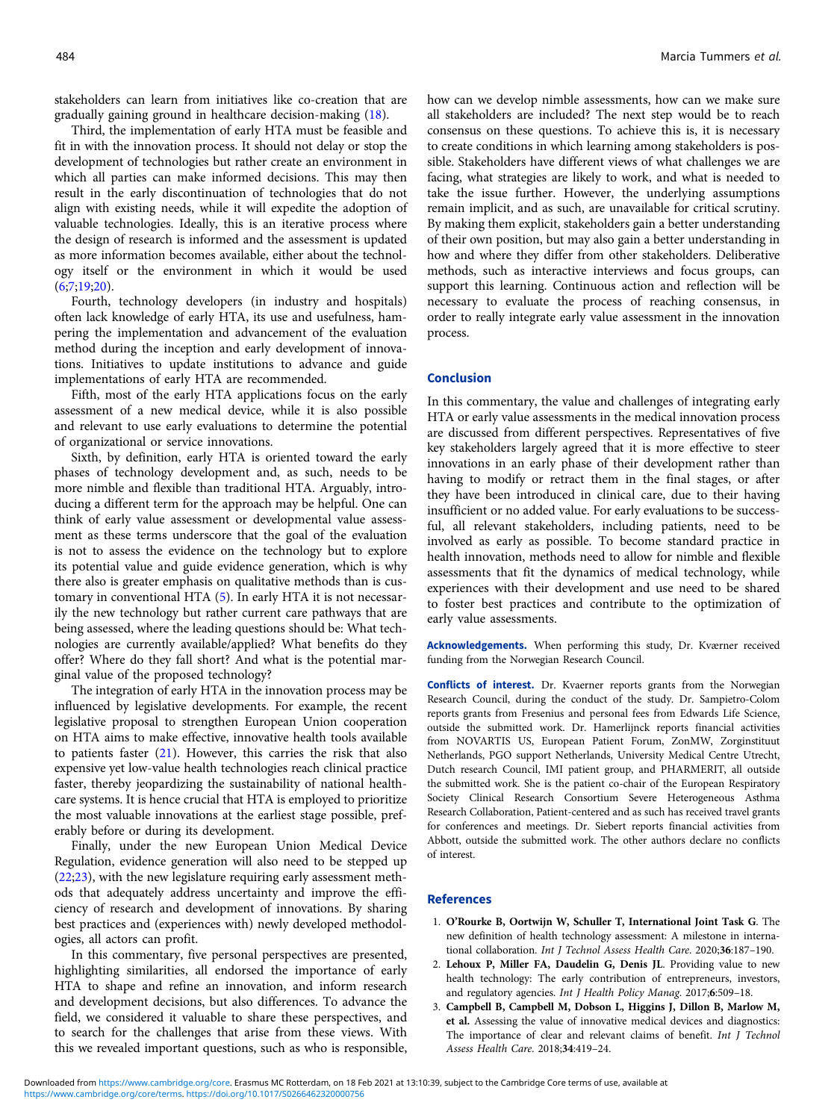<span id="page-3-0"></span>stakeholders can learn from initiatives like co-creation that are gradually gaining ground in healthcare decision-making ([18\)](#page-4-0).

Third, the implementation of early HTA must be feasible and fit in with the innovation process. It should not delay or stop the development of technologies but rather create an environment in which all parties can make informed decisions. This may then result in the early discontinuation of technologies that do not align with existing needs, while it will expedite the adoption of valuable technologies. Ideally, this is an iterative process where the design of research is informed and the assessment is updated as more information becomes available, either about the technology itself or the environment in which it would be used  $(6;7;19;20)$  $(6;7;19;20)$  $(6;7;19;20)$ .

Fourth, technology developers (in industry and hospitals) often lack knowledge of early HTA, its use and usefulness, hampering the implementation and advancement of the evaluation method during the inception and early development of innovations. Initiatives to update institutions to advance and guide implementations of early HTA are recommended.

Fifth, most of the early HTA applications focus on the early assessment of a new medical device, while it is also possible and relevant to use early evaluations to determine the potential of organizational or service innovations.

Sixth, by definition, early HTA is oriented toward the early phases of technology development and, as such, needs to be more nimble and flexible than traditional HTA. Arguably, introducing a different term for the approach may be helpful. One can think of early value assessment or developmental value assessment as these terms underscore that the goal of the evaluation is not to assess the evidence on the technology but to explore its potential value and guide evidence generation, which is why there also is greater emphasis on qualitative methods than is customary in conventional HTA [\(5\)](#page-4-0). In early HTA it is not necessarily the new technology but rather current care pathways that are being assessed, where the leading questions should be: What technologies are currently available/applied? What benefits do they offer? Where do they fall short? And what is the potential marginal value of the proposed technology?

The integration of early HTA in the innovation process may be influenced by legislative developments. For example, the recent legislative proposal to strengthen European Union cooperation on HTA aims to make effective, innovative health tools available to patients faster ([21\)](#page-4-0). However, this carries the risk that also expensive yet low-value health technologies reach clinical practice faster, thereby jeopardizing the sustainability of national healthcare systems. It is hence crucial that HTA is employed to prioritize the most valuable innovations at the earliest stage possible, preferably before or during its development.

Finally, under the new European Union Medical Device Regulation, evidence generation will also need to be stepped up ([22;23](#page-4-0)), with the new legislature requiring early assessment methods that adequately address uncertainty and improve the efficiency of research and development of innovations. By sharing best practices and (experiences with) newly developed methodologies, all actors can profit.

In this commentary, five personal perspectives are presented, highlighting similarities, all endorsed the importance of early HTA to shape and refine an innovation, and inform research and development decisions, but also differences. To advance the field, we considered it valuable to share these perspectives, and to search for the challenges that arise from these views. With this we revealed important questions, such as who is responsible,

how can we develop nimble assessments, how can we make sure all stakeholders are included? The next step would be to reach consensus on these questions. To achieve this is, it is necessary to create conditions in which learning among stakeholders is possible. Stakeholders have different views of what challenges we are facing, what strategies are likely to work, and what is needed to take the issue further. However, the underlying assumptions remain implicit, and as such, are unavailable for critical scrutiny. By making them explicit, stakeholders gain a better understanding of their own position, but may also gain a better understanding in how and where they differ from other stakeholders. Deliberative methods, such as interactive interviews and focus groups, can support this learning. Continuous action and reflection will be necessary to evaluate the process of reaching consensus, in order to really integrate early value assessment in the innovation process.

#### Conclusion

In this commentary, the value and challenges of integrating early HTA or early value assessments in the medical innovation process are discussed from different perspectives. Representatives of five key stakeholders largely agreed that it is more effective to steer innovations in an early phase of their development rather than having to modify or retract them in the final stages, or after they have been introduced in clinical care, due to their having insufficient or no added value. For early evaluations to be successful, all relevant stakeholders, including patients, need to be involved as early as possible. To become standard practice in health innovation, methods need to allow for nimble and flexible assessments that fit the dynamics of medical technology, while experiences with their development and use need to be shared to foster best practices and contribute to the optimization of early value assessments.

Acknowledgements. When performing this study, Dr. Kværner received funding from the Norwegian Research Council.

Conflicts of interest. Dr. Kvaerner reports grants from the Norwegian Research Council, during the conduct of the study. Dr. Sampietro-Colom reports grants from Fresenius and personal fees from Edwards Life Science, outside the submitted work. Dr. Hamerlijnck reports financial activities from NOVARTIS US, European Patient Forum, ZonMW, Zorginstituut Netherlands, PGO support Netherlands, University Medical Centre Utrecht, Dutch research Council, IMI patient group, and PHARMERIT, all outside the submitted work. She is the patient co-chair of the European Respiratory Society Clinical Research Consortium Severe Heterogeneous Asthma Research Collaboration, Patient-centered and as such has received travel grants for conferences and meetings. Dr. Siebert reports financial activities from Abbott, outside the submitted work. The other authors declare no conflicts of interest.

# References

- 1. O'Rourke B, Oortwijn W, Schuller T, International Joint Task G. The new definition of health technology assessment: A milestone in international collaboration. Int J Technol Assess Health Care. 2020;36:187–190.
- 2. Lehoux P, Miller FA, Daudelin G, Denis JL. Providing value to new health technology: The early contribution of entrepreneurs, investors, and regulatory agencies. Int J Health Policy Manag. 2017;6:509–18.
- 3. Campbell B, Campbell M, Dobson L, Higgins J, Dillon B, Marlow M, et al. Assessing the value of innovative medical devices and diagnostics: The importance of clear and relevant claims of benefit. Int J Technol Assess Health Care. 2018;34:419–24.